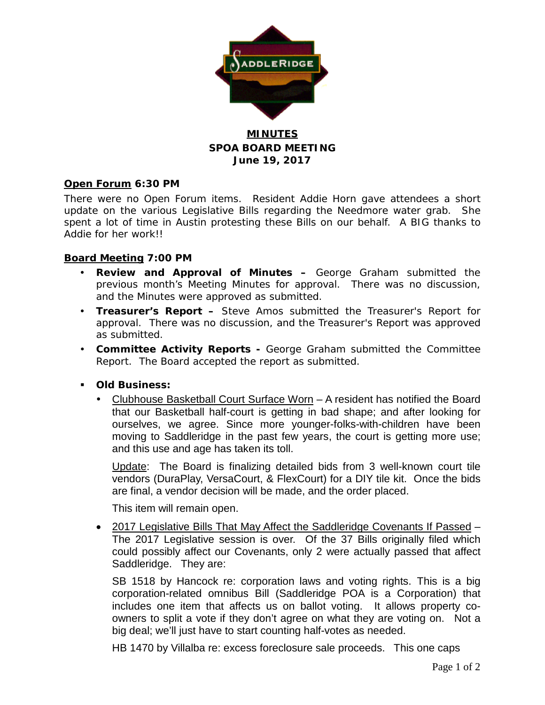

# **MINUTES SPOA BOARD MEETING June 19, 2017**

## **Open Forum 6:30 PM**

There were no Open Forum items. Resident Addie Horn gave attendees a short update on the various Legislative Bills regarding the Needmore water grab. She spent a lot of time in Austin protesting these Bills on our behalf. A BIG thanks to Addie for her work!!

### **Board Meeting 7:00 PM**

- **Review and Approval of Minutes –** George Graham submitted the previous month's Meeting Minutes for approval. There was no discussion, and the Minutes were approved as submitted.
- **Treasurer's Report –** Steve Amos submitted the Treasurer's Report for approval. There was no discussion, and the Treasurer's Report was approved as submitted.
- **Committee Activity Reports -** George Graham submitted the Committee Report. The Board accepted the report as submitted.
- **Old Business:**
	- Clubhouse Basketball Court Surface Worn A resident has notified the Board that our Basketball half-court is getting in bad shape; and after looking for ourselves, we agree. Since more younger-folks-with-children have been moving to Saddleridge in the past few years, the court is getting more use; and this use and age has taken its toll.

Update: The Board is finalizing detailed bids from 3 well-known court tile vendors (DuraPlay, VersaCourt, & FlexCourt) for a DIY tile kit. Once the bids are final, a vendor decision will be made, and the order placed.

This item will remain open.

• 2017 Legislative Bills That May Affect the Saddleridge Covenants If Passed – The 2017 Legislative session is over. Of the 37 Bills originally filed which could possibly affect our Covenants, only 2 were actually passed that affect Saddleridge. They are:

SB 1518 by Hancock re: corporation laws and voting rights. This is a big corporation-related omnibus Bill (Saddleridge POA is a Corporation) that includes one item that affects us on ballot voting. It allows property coowners to split a vote if they don't agree on what they are voting on. Not a big deal; we'll just have to start counting half-votes as needed.

HB 1470 by Villalba re: excess foreclosure sale proceeds. This one caps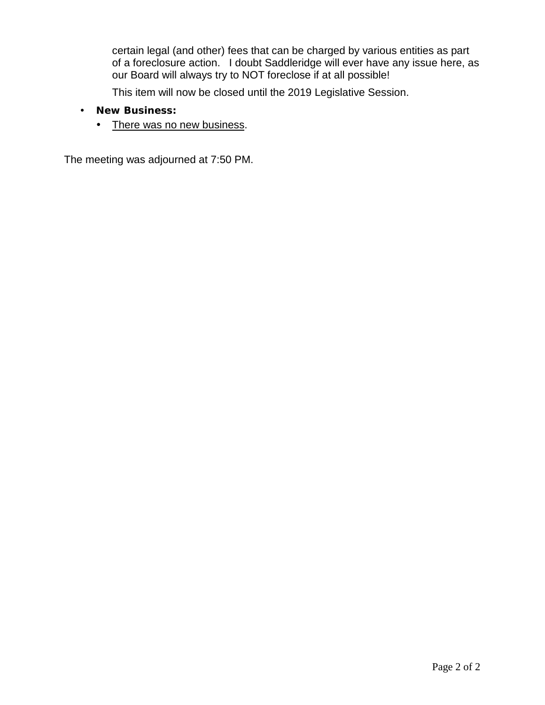certain legal (and other) fees that can be charged by various entities as part of a foreclosure action. I doubt Saddleridge will ever have any issue here, as our Board will always try to NOT foreclose if at all possible!

This item will now be closed until the 2019 Legislative Session.

- **New Business:**
	- There was no new business.

The meeting was adjourned at 7:50 PM.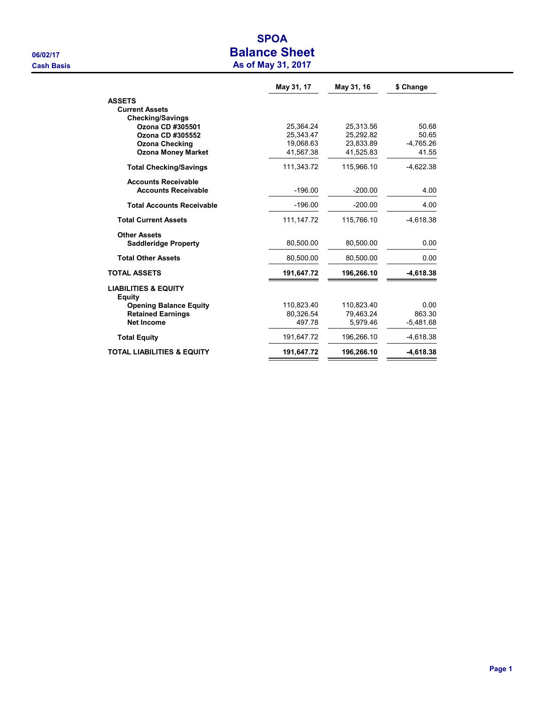# SPOA 06/02/17 **Balance Sheet Cash Basis** Cash Basis **As of May 31, 2017**

|                                           | May 31, 17   | May 31, 16 | \$ Change   |
|-------------------------------------------|--------------|------------|-------------|
| <b>ASSETS</b>                             |              |            |             |
| <b>Current Assets</b>                     |              |            |             |
| <b>Checking/Savings</b>                   |              |            |             |
| Ozona CD #305501                          | 25.364.24    | 25.313.56  | 50.68       |
| Ozona CD #305552                          | 25,343.47    | 25,292.82  | 50.65       |
| <b>Ozona Checking</b>                     | 19,068.63    | 23.833.89  | $-4.765.26$ |
| <b>Ozona Money Market</b>                 | 41,567.38    | 41,525.83  | 41.55       |
| <b>Total Checking/Savings</b>             | 111,343.72   | 115,966.10 | $-4,622.38$ |
| <b>Accounts Receivable</b>                |              |            |             |
| <b>Accounts Receivable</b>                | $-196.00$    | $-200.00$  | 4.00        |
| <b>Total Accounts Receivable</b>          | $-196.00$    | $-200.00$  | 4.00        |
| <b>Total Current Assets</b>               | 111, 147. 72 | 115,766.10 | $-4,618.38$ |
| <b>Other Assets</b>                       |              |            |             |
| <b>Saddleridge Property</b>               | 80,500.00    | 80,500.00  | 0.00        |
| <b>Total Other Assets</b>                 | 80,500.00    | 80,500.00  | 0.00        |
| <b>TOTAL ASSETS</b>                       | 191,647.72   | 196,266.10 | $-4,618.38$ |
| <b>LIABILITIES &amp; EQUITY</b><br>Equity |              |            |             |
| <b>Opening Balance Equity</b>             | 110,823.40   | 110,823.40 | 0.00        |
| <b>Retained Earnings</b>                  | 80,326.54    | 79.463.24  | 863.30      |
| <b>Net Income</b>                         | 497.78       | 5,979.46   | $-5,481.68$ |
| <b>Total Equity</b>                       | 191,647.72   | 196,266.10 | $-4,618.38$ |
| <b>TOTAL LIABILITIES &amp; EQUITY</b>     | 191,647.72   | 196,266.10 | $-4,618.38$ |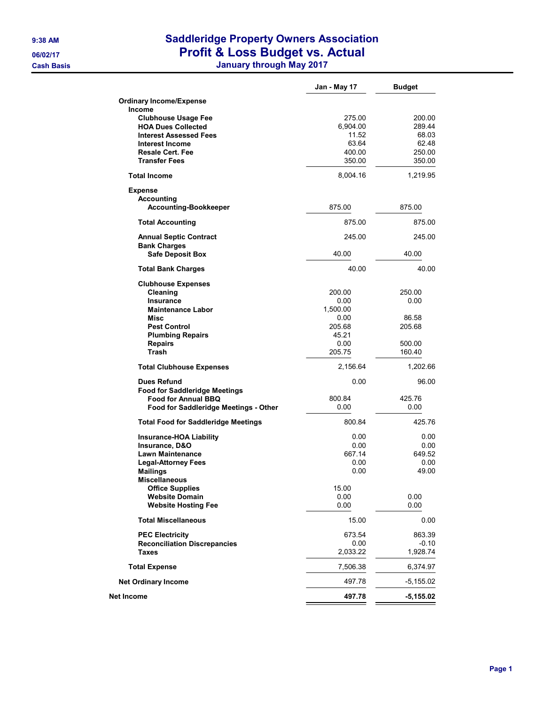# 9:38 AM Saddleridge Property Owners Association 06/02/17 **Profit & Loss Budget vs. Actual**

Cash Basis January through May 2017

|                                                                                                                                                                                                                                       | Jan - May 17                                                            | <b>Budget</b>                                           |
|---------------------------------------------------------------------------------------------------------------------------------------------------------------------------------------------------------------------------------------|-------------------------------------------------------------------------|---------------------------------------------------------|
| <b>Ordinary Income/Expense</b>                                                                                                                                                                                                        |                                                                         |                                                         |
| <b>Income</b><br><b>Clubhouse Usage Fee</b><br><b>HOA Dues Collected</b><br><b>Interest Assessed Fees</b><br><b>Interest Income</b><br><b>Resale Cert. Fee</b><br><b>Transfer Fees</b>                                                | 275.00<br>6,904.00<br>11.52<br>63.64<br>400.00<br>350.00                | 200.00<br>289.44<br>68.03<br>62.48<br>250.00<br>350.00  |
| <b>Total Income</b>                                                                                                                                                                                                                   | 8,004.16                                                                | 1,219.95                                                |
| <b>Expense</b><br><b>Accounting</b><br><b>Accounting-Bookkeeper</b>                                                                                                                                                                   | 875.00                                                                  | 875.00                                                  |
| <b>Total Accounting</b>                                                                                                                                                                                                               | 875.00                                                                  | 875.00                                                  |
| <b>Annual Septic Contract</b>                                                                                                                                                                                                         | 245.00                                                                  | 245.00                                                  |
| <b>Bank Charges</b><br><b>Safe Deposit Box</b>                                                                                                                                                                                        | 40.00                                                                   | 40.00                                                   |
| <b>Total Bank Charges</b>                                                                                                                                                                                                             | 40.00                                                                   | 40.00                                                   |
| <b>Clubhouse Expenses</b><br>Cleaning<br><b>Insurance</b><br><b>Maintenance Labor</b><br>Misc<br><b>Pest Control</b><br><b>Plumbing Repairs</b><br><b>Repairs</b><br><b>Trash</b>                                                     | 200.00<br>0.00<br>1,500.00<br>0.00<br>205.68<br>45.21<br>0.00<br>205.75 | 250.00<br>0.00<br>86.58<br>205.68<br>500.00<br>160.40   |
| <b>Total Clubhouse Expenses</b>                                                                                                                                                                                                       | 2,156.64                                                                | 1,202.66                                                |
| <b>Dues Refund</b><br><b>Food for Saddleridge Meetings</b><br><b>Food for Annual BBQ</b><br>Food for Saddleridge Meetings - Other                                                                                                     | 0.00<br>800.84<br>0.00                                                  | 96.00<br>425.76<br>0.00                                 |
| <b>Total Food for Saddleridge Meetings</b>                                                                                                                                                                                            | 800.84                                                                  | 425.76                                                  |
| <b>Insurance-HOA Liability</b><br>Insurance, D&O<br><b>Lawn Maintenance</b><br><b>Legal-Attorney Fees</b><br><b>Mailings</b><br><b>Miscellaneous</b><br><b>Office Supplies</b><br><b>Website Domain</b><br><b>Website Hosting Fee</b> | 0.00<br>0.00<br>667.14<br>0.00<br>0.00<br>15.00<br>0.00<br>0.00         | 0.00<br>0.00<br>649.52<br>0.00<br>49.00<br>0.00<br>0.00 |
| <b>Total Miscellaneous</b>                                                                                                                                                                                                            | 15.00                                                                   | 0.00                                                    |
| <b>PEC Electricity</b><br><b>Reconciliation Discrepancies</b><br><b>Taxes</b>                                                                                                                                                         | 673.54<br>0.00<br>2,033.22                                              | 863.39<br>$-0.10$<br>1,928.74                           |
| <b>Total Expense</b>                                                                                                                                                                                                                  | 7,506.38                                                                | 6,374.97                                                |
| <b>Net Ordinary Income</b>                                                                                                                                                                                                            | 497.78                                                                  | -5,155.02                                               |
| Net Income                                                                                                                                                                                                                            | 497.78                                                                  | $-5,155.02$                                             |